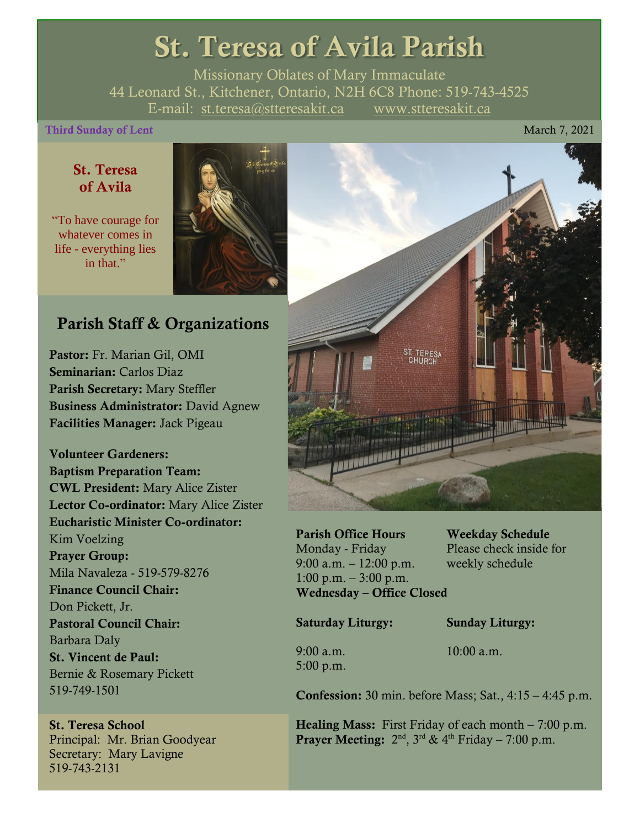## St. Teresa of Avila Parish

Missionary Oblates of Mary Immaculate 44 Leonard St., Kitchener, Ontario, N2H 6C8 Phone: 519-743-4525 E-mail: [st.teresa@stteresakit.ca](mailto:st.teresa@stteresakit.ca) [www.stteresakit.ca](http://www.stteresakit.ca/)

#### **Third Sunday of Lent** March 7, 2021

#### St. Teresa of Avila

"To have courage for whatever comes in life - everything lies in that"



#### Parish Staff & Organizations

Pastor: Fr. Marian Gil, OMI Seminarian: Carlos Diaz Parish Secretary: Mary Steffler Business Administrator: David Agnew Facilities Manager: Jack Pigeau

Volunteer Gardeners: Baptism Preparation Team: CWL President: Mary Alice Zister Lector Co-ordinator: Mary Alice Zister Eucharistic Minister Co-ordinator: Kim Voelzing Prayer Group: Mila Navaleza - 519-579-8276 Finance Council Chair: Don Pickett, Jr. Pastoral Council Chair: Barbara Daly St. Vincent de Paul: Bernie & Rosemary Pickett 519-749-1501

St. Teresa School Principal: Mr. Brian Goodyear Secretary: Mary Lavigne 519-743-2131



Parish Office Hours Weekday Schedule Monday - Friday Please check inside for 9:00 a.m. – 12:00 p.m. weekly schedule  $1:00 \text{ p.m.} - 3:00 \text{ p.m.}$ Wednesday – Office Closed

Saturday Liturgy: Sunday Liturgy:

5:00 p.m.

9:00 a.m. 10:00 a.m.

Confession: 30 min. before Mass; Sat., 4:15 – 4:45 p.m.

**Healing Mass:** First Friday of each month  $-7:00$  p.m. **Prayer Meeting:**  $2^{nd}$ ,  $3^{rd}$  &  $4^{th}$  Friday – 7:00 p.m.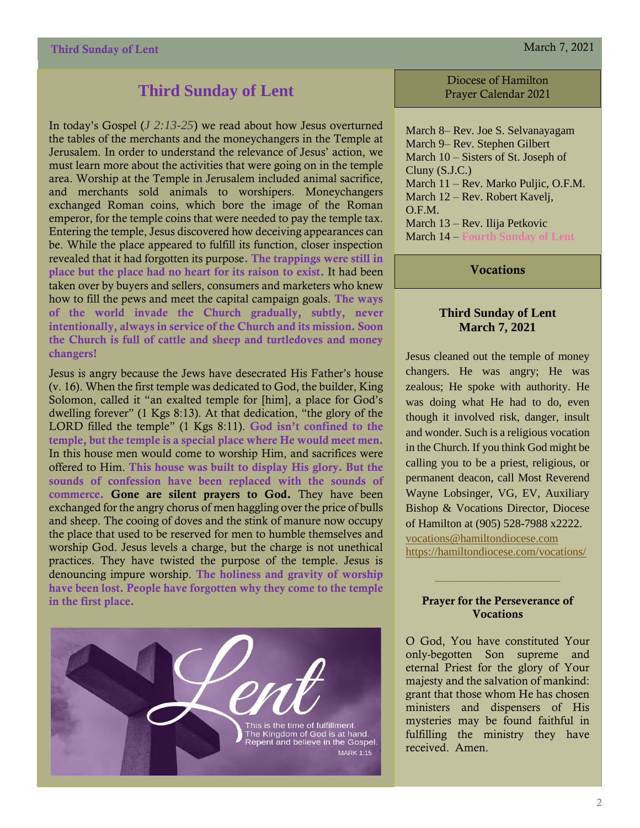#### **Third Sunday of Lent**

In today's Gospel (*J 2:13-25*) we read about how Jesus overturned the tables of the merchants and the moneychangers in the Temple at Jerusalem. In order to understand the relevance of Jesus' action, we must learn more about the activities that were going on in the temple area. Worship at the Temple in Jerusalem included animal sacrifice, and merchants sold animals to worshipers. Moneychangers exchanged Roman coins, which bore the image of the Roman emperor, for the temple coins that were needed to pay the temple tax. Entering the temple, Jesus discovered how deceiving appearances can be. While the place appeared to fulfill its function, closer inspection revealed that it had forgotten its purpose. The trappings were still in place but the place had no heart for its raison to exist. It had been taken over by buyers and sellers, consumers and marketers who knew how to fill the pews and meet the capital campaign goals. The ways of the world invade the Church gradually, subtly, never intentionally, always in service of the Church and its mission. Soon the Church is full of cattle and sheep and turtledoves and money changers!

Jesus is angry because the Jews have desecrated His Father's house (v. 16). When the first temple was dedicated to God, the builder, King Solomon, called it "an exalted temple for [him], a place for God's dwelling forever" (1 Kgs 8:13). At that dedication, "the glory of the LORD filled the temple" (1 Kgs 8:11). God isn't confined to the temple, but the temple is a special place where He would meet men. In this house men would come to worship Him, and sacrifices were offered to Him. This house was built to display His glory. But the sounds of confession have been replaced with the sounds of commerce. Gone are silent prayers to God. They have been exchanged for the angry chorus of men haggling over the price of bulls and sheep. The cooing of doves and the stink of manure now occupy the place that used to be reserved for men to humble themselves and worship God. Jesus levels a charge, but the charge is not unethical practices. They have twisted the purpose of the temple. Jesus is denouncing impure worship. The holiness and gravity of worship have been lost. People have forgotten why they come to the temple in the first place.



Diocese of Hamilton Prayer Calendar 2021

March 8– Rev. Joe S. Selvanayagam March 9– Rev. Stephen Gilbert March 10 – Sisters of St. Joseph of Cluny (S.J.C.) March 11 – Rev. Marko Puljic, O.F.M. March 12 – Rev. Robert Kavelj, O.F.M. March 13 – Rev. Ilija Petkovic March 14 – **Fourth Sunday of Lent**

**Vocations** 

#### **Third Sunday of Lent March 7, 2021**

Jesus cleaned out the temple of money changers. He was angry; He was zealous; He spoke with authority. He was doing what He had to do, even though it involved risk, danger, insult and wonder. Such is a religious vocation in the Church. If you think God might be calling you to be a priest, religious, or permanent deacon, call Most Reverend Wayne Lobsinger, VG, EV, Auxiliary Bishop & Vocations Director, Diocese of Hamilton at (905) 528-7988 x2222. [vocations@hamiltondiocese.com](mailto:vocations@hamiltondiocese.com)  <https://hamiltondiocese.com/vocations/>

#### Prayer for the Perseverance of Vocations

O God, You have constituted Your only-begotten Son supreme and eternal Priest for the glory of Your majesty and the salvation of mankind: grant that those whom He has chosen ministers and dispensers of His mysteries may be found faithful in fulfilling the ministry they have received. Amen.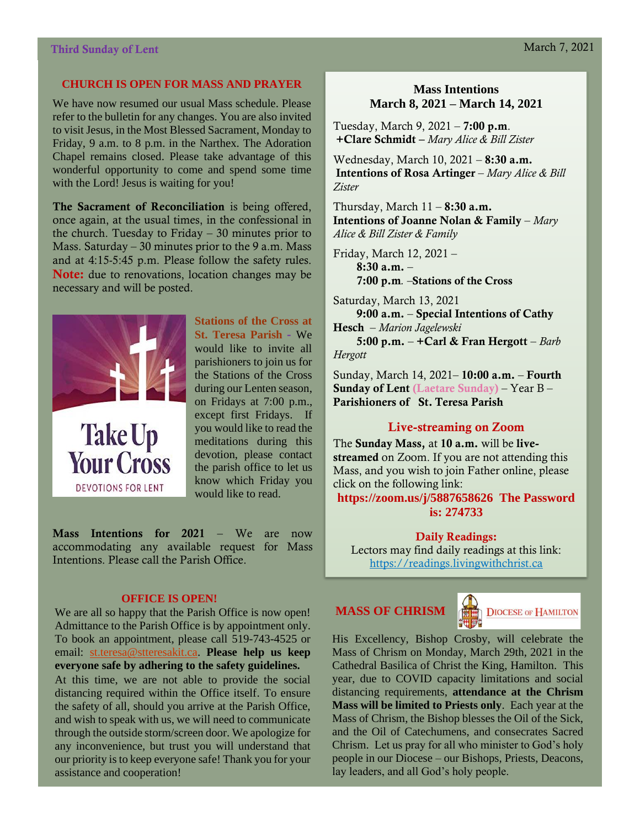#### **CHURCH IS OPEN FOR MASS AND PRAYER**

We have now resumed our usual Mass schedule. Please refer to the bulletin for any changes. You are also invited to visit Jesus, in the Most Blessed Sacrament, Monday to Friday, 9 a.m. to 8 p.m. in the Narthex. The Adoration Chapel remains closed. Please take advantage of this wonderful opportunity to come and spend some time with the Lord! Jesus is waiting for you!

The Sacrament of Reconciliation is being offered, once again, at the usual times, in the confessional in the church. Tuesday to Friday  $-30$  minutes prior to Mass. Saturday – 30 minutes prior to the 9 a.m. Mass and at 4:15-5:45 p.m. Please follow the safety rules. Note: due to renovations, location changes may be necessary and will be posted.



**DEVOTIONS FOR LENT** 

**Stations of the Cross at St. Teresa Parish -** We would like to invite all parishioners to join us for the Stations of the Cross during our Lenten season, on Fridays at 7:00 p.m., except first Fridays. If you would like to read the meditations during this devotion, please contact the parish office to let us know which Friday you would like to read.

Mass Intentions for 2021 – We are now accommodating any available request for Mass Intentions. Please call the Parish Office.

#### **OFFICE IS OPEN!**

We are all so happy that the Parish Office is now open! Admittance to the Parish Office is by appointment only. To book an appointment, please call 519-743-4525 or email: [st.teresa@stteresakit.ca.](mailto:st.teresa@stteresakit.ca) **Please help us keep everyone safe by adhering to the safety guidelines.**

At this time, we are not able to provide the social distancing required within the Office itself. To ensure the safety of all, should you arrive at the Parish Office, and wish to speak with us, we will need to communicate through the outside storm/screen door. We apologize for any inconvenience, but trust you will understand that our priority is to keep everyone safe! Thank you for your assistance and cooperation!

#### **Mass Intentions March 8, 2021 – March 14, 2021**

Tuesday, March 9, 2021 – 7:00 p.m. +Clare Schmidt – *Mary Alice & Bill Zister*

Wednesday, March 10, 2021 - **8:30 a.m.** Intentions of Rosa Artinger – *Mary Alice & Bill Zister*

Thursday, March  $11 - 8:30$  a.m. Intentions of Joanne Nolan & Family – *Mary Alice & Bill Zister & Family*

Friday, March 12, 2021 –  $8:30$  a.m.  $-$ 7:00 p.m*. –*Stations of the Cross

Saturday, March 13, 2021 9:00 a.m. – Special Intentions of Cathy Hesch – *Marion Jagelewski* 5:00 p.m. – +Carl & Fran Hergott – *Barb Hergott*

Sunday, March 14, 2021– 10:00 a.m. – Fourth Sunday of Lent (Laetare Sunday) – Year B – Parishioners of St. Teresa Parish

#### Live-streaming on Zoom

The Sunday Mass, at 10 a.m. will be livestreamed on Zoom. If you are not attending this Mass, and you wish to join Father online, please click on the following link:

**<https://zoom.us/j/5887658626> The Password is: 274733**

Daily Readings:

Lectors may find daily readings at this link: [https://readings.livingwithchrist.ca](https://readings.livingwithchrist.ca/)

#### **MASS OF CHRISM**



**DIOCESE OF HAMILTON** 

His Excellency, Bishop Crosby, will celebrate the Mass of Chrism on Monday, March 29th, 2021 in the Cathedral Basilica of Christ the King, Hamilton. This year, due to COVID capacity limitations and social distancing requirements, **attendance at the Chrism Mass will be limited to Priests only**. Each year at the Mass of Chrism, the Bishop blesses the Oil of the Sick, and the Oil of Catechumens, and consecrates Sacred Chrism. Let us pray for all who minister to God's holy people in our Diocese – our Bishops, Priests, Deacons, lay leaders, and all God's holy people.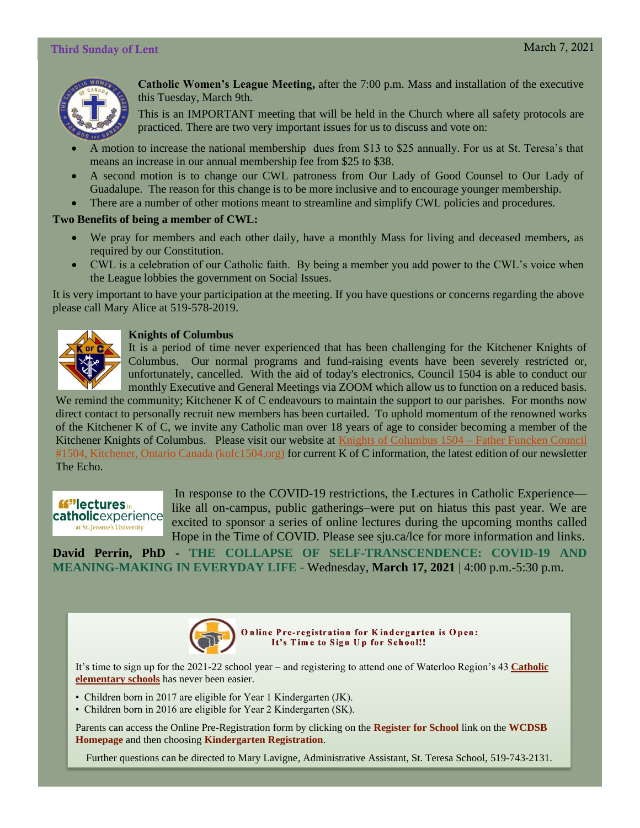#### Third Sunday of Lent March 7, 2021



**Catholic Women's League Meeting,** after the 7:00 p.m. Mass and installation of the executive this Tuesday, March 9th.

This is an IMPORTANT meeting that will be held in the Church where all safety protocols are practiced. There are two very important issues for us to discuss and vote on:

- A motion to increase the national membership dues from \$13 to \$25 annually. For us at St. Teresa's that means an increase in our annual membership fee from \$25 to \$38.
- A second motion is to change our CWL patroness from Our Lady of Good Counsel to Our Lady of Guadalupe. The reason for this change is to be more inclusive and to encourage younger membership.
- There are a number of other motions meant to streamline and simplify CWL policies and procedures.

#### **Two Benefits of being a member of CWL:**

- We pray for members and each other daily, have a monthly Mass for living and deceased members, as required by our Constitution.
- CWL is a celebration of our Catholic faith. By being a member you add power to the CWL's voice when the League lobbies the government on Social Issues.

It is very important to have your participation at the meeting. If you have questions or concerns regarding the above please call Mary Alice at 519-578-2019.



#### **Knights of Columbus**

It is a period of time never experienced that has been challenging for the Kitchener Knights of Columbus. Our normal programs and fund-raising events have been severely restricted or, unfortunately, cancelled. With the aid of today's electronics, Council 1504 is able to conduct our monthly Executive and General Meetings via ZOOM which allow us to function on a reduced basis.

We remind the community; Kitchener K of C endeavours to maintain the support to our parishes. For months now direct contact to personally recruit new members has been curtailed. To uphold momentum of the renowned works of the Kitchener K of C, we invite any Catholic man over 18 years of age to consider becoming a member of the Kitchener Knights of Columbus. Please visit our website at [Knights of Columbus 1504 –](https://kofc1504.org/) Father Funcken Council [#1504, Kitchener, Ontario Canada \(kofc1504.org\)](https://kofc1504.org/) for current K of C information, the latest edition of our newsletter The Echo.



In response to the COVID-19 restrictions, the Lectures in Catholic Experience like all on-campus, public gatherings–were put on hiatus this past year. We are excited to sponsor a series of online lectures during the upcoming months called Hope in the Time of COVID. Please see sju.ca/lce for more information and links.

**David Perrin, PhD - THE COLLAPSE OF SELF-TRANSCENDENCE: COVID-19 AND MEANING-MAKING IN EVERYDAY LIFE -** Wednesday, **March 17, 2021** | 4:00 p.m.-5:30 p.m.



Online Pre-registration for Kindergarten is Open: It's Time to Sign Up for School!!

It's time to sign up for the 2021-22 school year – and registering to attend one of Waterloo Region's 43 **[Catholic](https://www.wcdsb.ca/?mailpoet_router&endpoint=track&action=click&data=WyIxNjEwIiwiNThiNGY2IiwiMTM2OTIiLCJmZjg3ZTQ4Mjk4ZmMiLGZhbHNlXQ)  [elementary schools](https://www.wcdsb.ca/?mailpoet_router&endpoint=track&action=click&data=WyIxNjEwIiwiNThiNGY2IiwiMTM2OTIiLCJmZjg3ZTQ4Mjk4ZmMiLGZhbHNlXQ)** has never been easier.

- Children born in 2017 are eligible for Year 1 Kindergarten (JK).
- Children born in 2016 are eligible for Year 2 Kindergarten (SK).

Parents can access the Online Pre-Registration form by clicking on the **[Register for School](https://www.wcdsb.ca/?mailpoet_router&endpoint=track&action=click&data=WyIxNjEwIiwiNThiNGY2IiwiMTM2OTIiLCI4OWE4NDRmZDdhNzMiLGZhbHNlXQ)** link on the **[WCDSB](https://www.wcdsb.ca/?mailpoet_router&endpoint=track&action=click&data=WyIxNjEwIiwiNThiNGY2IiwiMTM2OTIiLCI1MjJlODFkYzE3MjIiLGZhbHNlXQ)  [Homepage](https://www.wcdsb.ca/?mailpoet_router&endpoint=track&action=click&data=WyIxNjEwIiwiNThiNGY2IiwiMTM2OTIiLCI1MjJlODFkYzE3MjIiLGZhbHNlXQ)** and then choosing **[Kindergarten Registration](https://www.wcdsb.ca/?mailpoet_router&endpoint=track&action=click&data=WyIxNjEwIiwiNThiNGY2IiwiMTM2OTIiLCJiZTFkN2ZjYzFiMGMiLGZhbHNlXQ)**.

Further questions can be directed to Mary Lavigne, Administrative Assistant, St. Teresa School, 519-743-2131.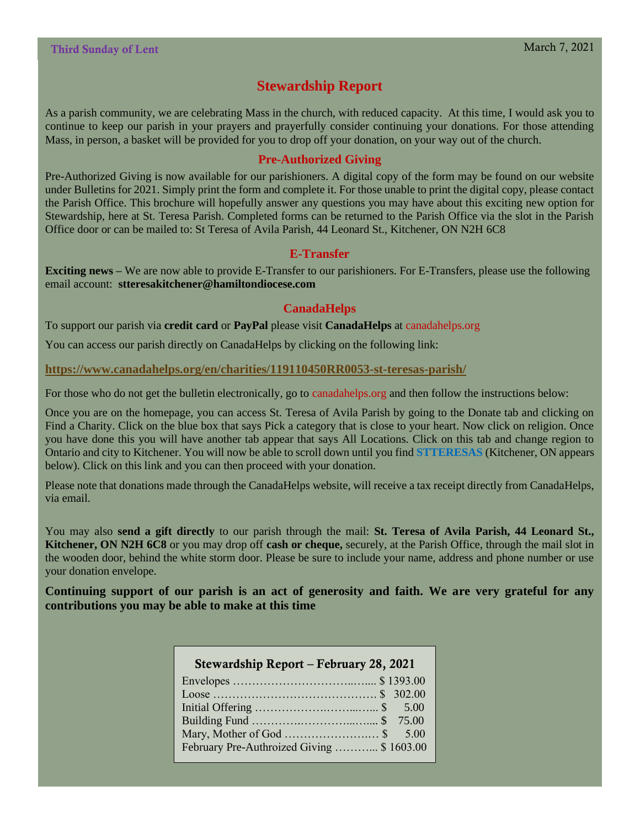#### **Stewardship Report**

As a parish community, we are celebrating Mass in the church, with reduced capacity. At this time, I would ask you to continue to keep our parish in your prayers and prayerfully consider continuing your donations. For those attending Mass, in person, a basket will be provided for you to drop off your donation, on your way out of the church.

#### **Pre-Authorized Giving**

Pre-Authorized Giving is now available for our parishioners. A digital copy of the form may be found on our website under Bulletins for 2021. Simply print the form and complete it. For those unable to print the digital copy, please contact the Parish Office. This brochure will hopefully answer any questions you may have about this exciting new option for Stewardship, here at St. Teresa Parish. Completed forms can be returned to the Parish Office via the slot in the Parish Office door or can be mailed to: St Teresa of Avila Parish, 44 Leonard St., Kitchener, ON N2H 6C8

#### **E-Transfer**

**Exciting news –** We are now able to provide E-Transfer to our parishioners. For E-Transfers, please use the following email account: **stteresakitchener@hamiltondiocese.com**

#### **CanadaHelps**

To support our parish via **credit card** or **PayPal** please visit **CanadaHelps** at canadahelps.org

You can access our parish directly on CanadaHelps by clicking on the following link:

#### **<https://www.canadahelps.org/en/charities/119110450RR0053-st-teresas-parish/>**

For those who do not get the bulletin electronically, go to canadahelps.org and then follow the instructions below:

Once you are on the homepage, you can access St. Teresa of Avila Parish by going to the Donate tab and clicking on Find a Charity. Click on the blue box that says Pick a category that is close to your heart. Now click on religion. Once you have done this you will have another tab appear that says All Locations. Click on this tab and change region to Ontario and city to Kitchener. You will now be able to scroll down until you find **STTERESAS** (Kitchener, ON appears below). Click on this link and you can then proceed with your donation.

Please note that donations made through the CanadaHelps website, will receive a tax receipt directly from CanadaHelps, via email.

You may also **send a gift directly** to our parish through the mail: **St. Teresa of Avila Parish, 44 Leonard St., Kitchener, ON N2H 6C8** or you may drop off **cash or cheque,** securely, at the Parish Office, through the mail slot in the wooden door, behind the white storm door. Please be sure to include your name, address and phone number or use your donation envelope.

**Continuing support of our parish is an act of generosity and faith. We are very grateful for any contributions you may be able to make at this time**

| Stewardship Report – February 28, 2021    |
|-------------------------------------------|
|                                           |
|                                           |
|                                           |
|                                           |
|                                           |
| February Pre-Authroized Giving  \$1603.00 |
|                                           |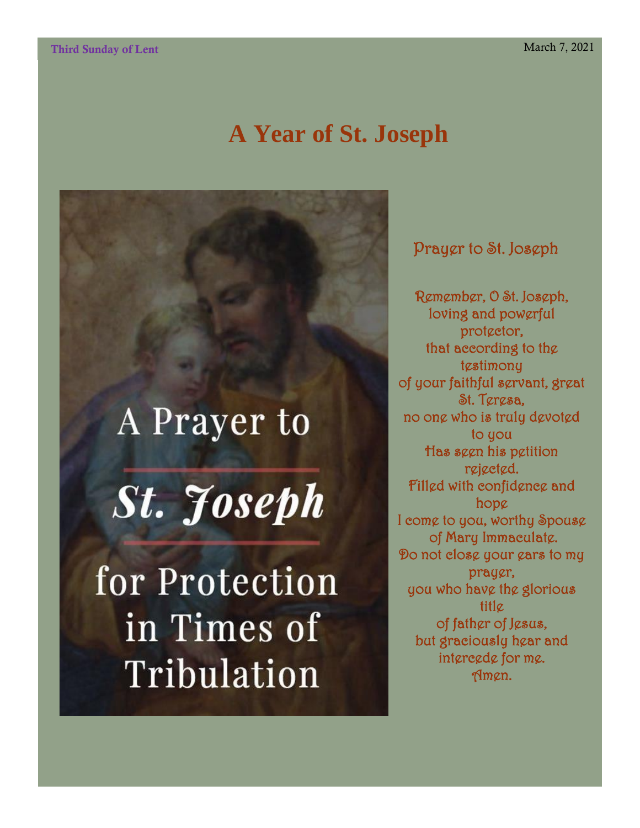## **A Year of St. Joseph**

# A Prayer to

**St.** Foseph

for Protection in Times of Tribulation

Prayer to St. Joseph

Remember, O St. Joseph, loving and powerful prot<sub>ector</sub>, that according to the tgstimony of your faithful servant, great St. Teresa, no one who is truly devoted to you Has seen his petition rejected. Filled with confidence and hope I come to you, worthy Spouse of Mary Immaculate. Do not close your ears to my prayer, you who have the glorious title of father of Jesus, but graciously hear and intercede for me. Amen.